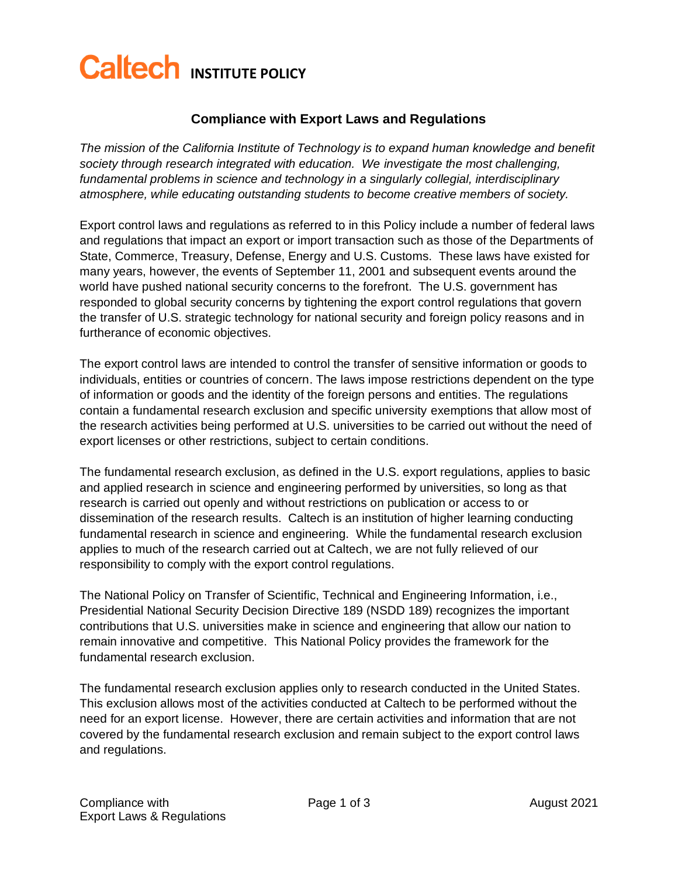## **Caltech INSTITUTE POLICY**

## **Compliance with Export Laws and Regulations**

*The mission of the California Institute of Technology is to expand human knowledge and benefit society through research integrated with education. We investigate the most challenging, fundamental problems in science and technology in a singularly collegial, interdisciplinary atmosphere, while educating outstanding students to become creative members of society.*

Export control laws and regulations as referred to in this Policy include a number of federal laws and regulations that impact an export or import transaction such as those of the Departments of State, Commerce, Treasury, Defense, Energy and U.S. Customs. These laws have existed for many years, however, the events of September 11, 2001 and subsequent events around the world have pushed national security concerns to the forefront. The U.S. government has responded to global security concerns by tightening the export control regulations that govern the transfer of U.S. strategic technology for national security and foreign policy reasons and in furtherance of economic objectives.

The export control laws are intended to control the transfer of sensitive information or goods to individuals, entities or countries of concern. The laws impose restrictions dependent on the type of information or goods and the identity of the foreign persons and entities. The regulations contain a fundamental research exclusion and specific university exemptions that allow most of the research activities being performed at U.S. universities to be carried out without the need of export licenses or other restrictions, subject to certain conditions.

The fundamental research exclusion, as defined in the U.S. export regulations, applies to basic and applied research in science and engineering performed by universities, so long as that research is carried out openly and without restrictions on publication or access to or dissemination of the research results. Caltech is an institution of higher learning conducting fundamental research in science and engineering. While the fundamental research exclusion applies to much of the research carried out at Caltech, we are not fully relieved of our responsibility to comply with the export control regulations.

The National Policy on Transfer of Scientific, Technical and Engineering Information, i.e., Presidential National Security Decision Directive 189 (NSDD 189) recognizes the important contributions that U.S. universities make in science and engineering that allow our nation to remain innovative and competitive. This National Policy provides the framework for the fundamental research exclusion.

The fundamental research exclusion applies only to research conducted in the United States. This exclusion allows most of the activities conducted at Caltech to be performed without the need for an export license. However, there are certain activities and information that are not covered by the fundamental research exclusion and remain subject to the export control laws and regulations.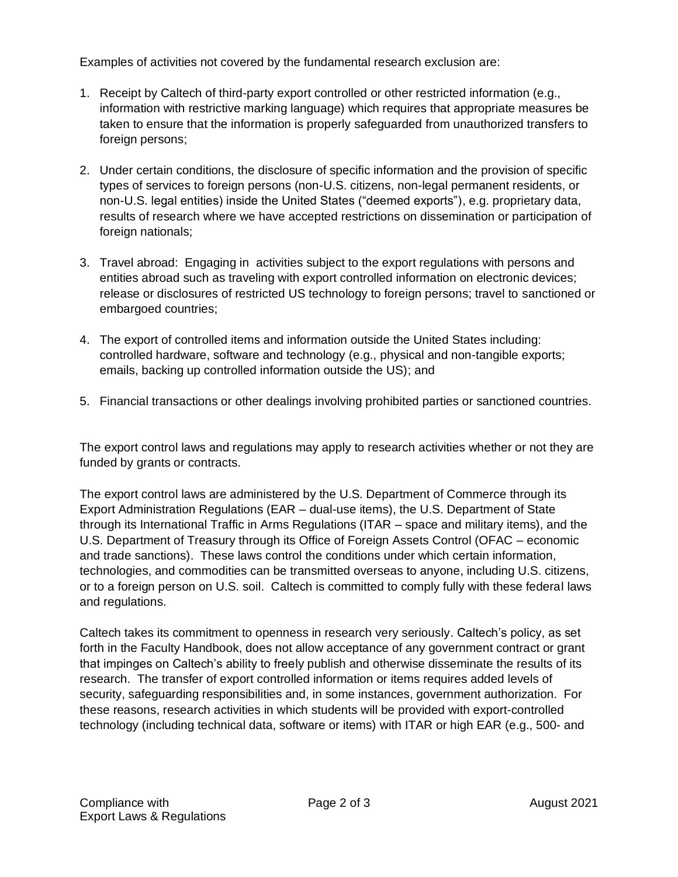Examples of activities not covered by the fundamental research exclusion are:

- 1. Receipt by Caltech of third-party export controlled or other restricted information (e.g., information with restrictive marking language) which requires that appropriate measures be taken to ensure that the information is properly safeguarded from unauthorized transfers to foreign persons;
- 2. Under certain conditions, the disclosure of specific information and the provision of specific types of services to foreign persons (non-U.S. citizens, non-legal permanent residents, or non-U.S. legal entities) inside the United States ("deemed exports"), e.g. proprietary data, results of research where we have accepted restrictions on dissemination or participation of foreign nationals;
- 3. Travel abroad: Engaging in activities subject to the export regulations with persons and entities abroad such as traveling with export controlled information on electronic devices; release or disclosures of restricted US technology to foreign persons; travel to sanctioned or embargoed countries;
- 4. The export of controlled items and information outside the United States including: controlled hardware, software and technology (e.g., physical and non-tangible exports; emails, backing up controlled information outside the US); and
- 5. Financial transactions or other dealings involving prohibited parties or sanctioned countries.

The export control laws and regulations may apply to research activities whether or not they are funded by grants or contracts.

The export control laws are administered by the U.S. Department of Commerce through its Export Administration Regulations (EAR – dual-use items), the U.S. Department of State through its International Traffic in Arms Regulations (ITAR – space and military items), and the U.S. Department of Treasury through its Office of Foreign Assets Control (OFAC – economic and trade sanctions). These laws control the conditions under which certain information, technologies, and commodities can be transmitted overseas to anyone, including U.S. citizens, or to a foreign person on U.S. soil. Caltech is committed to comply fully with these federal laws and regulations.

Caltech takes its commitment to openness in research very seriously. Caltech's policy, as set forth in the Faculty Handbook, does not allow acceptance of any government contract or grant that impinges on Caltech's ability to freely publish and otherwise disseminate the results of its research. The transfer of export controlled information or items requires added levels of security, safeguarding responsibilities and, in some instances, government authorization. For these reasons, research activities in which students will be provided with export-controlled technology (including technical data, software or items) with ITAR or high EAR (e.g., 500- and